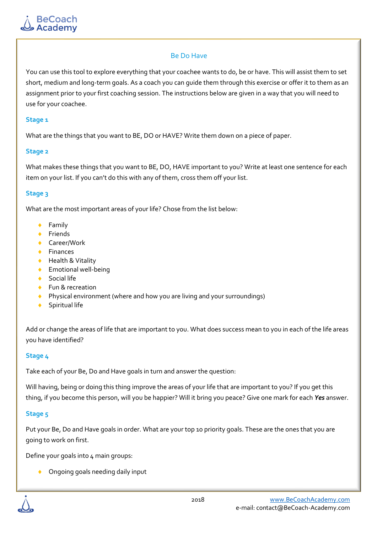## Be Do Have

You can use this tool to explore everything that your coachee wants to do, be or have. This will assist them to set short, medium and long-term goals. As a coach you can guide them through this exercise or offer it to them as an assignment prior to your first coaching session. The instructions below are given in a way that you will need to use for your coachee.

#### **Stage 1**

What are the things that you want to BE, DO or HAVE? Write them down on a piece of paper.

## **Stage 2**

What makes these things that you want to BE, DO, HAVE important to you? Write at least one sentence for each item on your list. If you can't do this with any of them, cross them off your list.

## **Stage 3**

What are the most important areas of your life? Chose from the list below:

- **+** Family
- $\leftarrow$  Friends
- ◆ Career/Work
- ◆ Finances
- ◆ Health & Vitality
- Emotional well-being
- ◆ Social life
- ◆ Fun & recreation
- ◆ Physical environment (where and how you are living and your surroundings)
- Spiritual life

Add or change the areas of life that are important to you. What does success mean to you in each of the life areas you have identified?

## **Stage 4**

Take each of your Be, Do and Have goals in turn and answer the question:

Will having, being or doing this thing improve the areas of your life that are important to you? If you get this thing, if you become this person, will you be happier? Will it bring you peace? Give one mark for each *Yes* answer.

## **Stage 5**

Put your Be, Do and Have goals in order. What are your top 10 priority goals. These are the ones that you are going to work on first.

Define your goals into 4 main groups:

Ongoing goals needing daily input